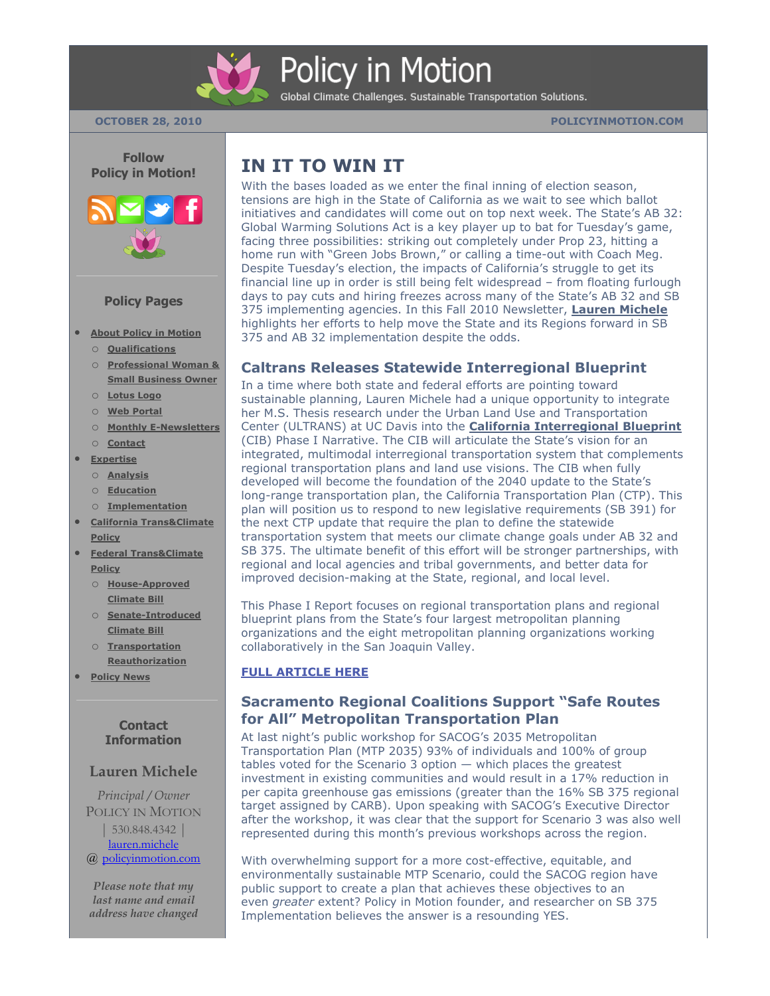

# **Policy in Motion**

Global Climate Challenges. Sustainable Transportation Solutions.



#### **Policy Pages**

- **[About Policy in Motion](http://policyinmotion.com/)** o **[Qualifications](http://policyinmotion.com/about-policy-in-motion/services-and-qualifications/)**
	- o **[Professional Woman &](http://policyinmotion.com/about-policy-in-motion/professional-woman-small-business-owner-recognition/)  [Small Business Owner](http://policyinmotion.com/about-policy-in-motion/professional-woman-small-business-owner-recognition/)**
	- o **[Lotus Logo](http://policyinmotion.com/about-policy-in-motion/logo/)**
	- o **[Web Portal](http://policyinmotion.com/about-policy-in-motion/web-portal/)**
	- o **[Monthly E-Newsletters](http://policyinmotion.com/about-policy-in-motion/monthly-e-newsletters/)**
	- o **[Contact](http://policyinmotion.com/about-policy-in-motion/contact/)**
- **[Expertise](http://policyinmotion.com/expertise/)**
	- o **[Analysis](http://policyinmotion.com/expertise/policy-analysis/)**
	- o **[Education](http://policyinmotion.com/expertise/policy-education/)**
	- o **[Implementation](http://policyinmotion.com/expertise/policy-implementation/)**
- **[California Trans&Climate](http://policyinmotion.com/transclimate-policy/)  [Policy](http://policyinmotion.com/transclimate-policy/)**
- **[Federal Trans&Climate](http://policyinmotion.com/federal-transclimate-policy/)  [Policy](http://policyinmotion.com/federal-transclimate-policy/)**
	- o **[House-Approved](http://policyinmotion.com/federal-transclimate-policy/house-approved-climateenergy-bill-waxman-markey/)  [Climate Bill](http://policyinmotion.com/federal-transclimate-policy/house-approved-climateenergy-bill-waxman-markey/)**
	- o **[Senate-Introduced](http://policyinmotion.com/federal-transclimate-policy/senate-introduced-climateenergy-bill-kerryboxer-lieberman/)  [Climate Bill](http://policyinmotion.com/federal-transclimate-policy/senate-introduced-climateenergy-bill-kerryboxer-lieberman/)**
	- o **[Transportation](http://policyinmotion.com/federal-transclimate-policy/surface-transportation-reauthorization-act-of-2009-oberstar/)  [Reauthorization](http://policyinmotion.com/federal-transclimate-policy/surface-transportation-reauthorization-act-of-2009-oberstar/)**
- **[Policy News](http://policyinmotion.com/policy-news-2/)**

#### **Contact Information**

#### **Lauren Michele**

*Principal / Owner* POLICY IN MOTION | 530.848.4342 [|](mailto:lauren.michele@policyinmotion.com) [lauren.michele](mailto:lauren.michele@policyinmotion.com) @ [policyinmotion.com](http://www.policyinmotion.com/)

*Please note that my last name and email address have changed*

## **IN IT TO WIN IT**

With the bases loaded as we enter the final inning of election season, tensions are high in the State of California as we wait to see which ballot initiatives and candidates will come out on top next week. The State's AB 32: Global Warming Solutions Act is a key player up to bat for Tuesday's game, facing three possibilities: striking out completely under Prop 23, hitting a home run with "Green Jobs Brown," or calling a time-out with Coach Meg. Despite Tuesday's election, the impacts of California's struggle to get its financial line up in order is still being felt widespread – from floating furlough days to pay cuts and hiring freezes across many of the State's AB 32 and SB 375 implementing agencies. In this Fall 2010 Newsletter, **[Lauren Michele](http://policyinmotion.com/)** highlights her efforts to help move the State and its Regions forward in SB 375 and AB 32 implementation despite the odds.

#### **[Caltrans Releases Statewide Interregional Blueprint](http://policyinmotion.com/2010/10/caltrans-releases-statewide-interregional-blueprint-lauren-micheles-uc-davis-masters-thesis-research-integrated-into-report-for-initial-phase-of-sb-391-compliance/)**

In a time where both state and federal efforts are pointing toward sustainable planning, Lauren Michele had a unique opportunity to integrate her M.S. Thesis research under the Urban Land Use and Transportation Center (ULTRANS) at UC Davis into the **[California Interregional Blueprint](http://policyinmotion.com/2010/10/caltrans-releases-statewide-interregional-blueprint-lauren-micheles-uc-davis-masters-thesis-research-integrated-into-report-for-initial-phase-of-sb-391-compliance/)** (CIB) Phase I Narrative. The CIB will articulate the State's vision for an integrated, multimodal interregional transportation system that complements regional transportation plans and land use visions. The CIB when fully developed will become the foundation of the 2040 update to the State's long-range transportation plan, the California Transportation Plan (CTP). This plan will position us to respond to new legislative requirements (SB 391) for the next CTP update that require the plan to define the statewide transportation system that meets our climate change goals under AB 32 and SB 375. The ultimate benefit of this effort will be stronger partnerships, with regional and local agencies and tribal governments, and better data for improved decision-making at the State, regional, and local level.

This Phase I Report focuses on regional transportation plans and regional blueprint plans from the State's four largest metropolitan planning organizations and the eight metropolitan planning organizations working collaboratively in the San Joaquin Valley.

#### **[FULL ARTICLE HERE](http://policyinmotion.com/2010/10/caltrans-releases-statewide-interregional-blueprint-lauren-micheles-uc-davis-masters-thesis-research-integrated-into-report-for-initial-phase-of-sb-391-compliance/)**

### **[Sacramento Regional Coalitions Support](http://policyinmotion.com/2010/10/sacramento-regional-coalitions-support-safe-routes-for-all-mtp-scenario/) "Safe Routes for All‖ Metropolitan [Transportation Plan](http://policyinmotion.com/2010/10/sacramento-regional-coalitions-support-safe-routes-for-all-mtp-scenario/)**

At last night's public workshop for SACOG's 2035 Metropolitan Transportation Plan (MTP 2035) 93% of individuals and 100% of group tables voted for the Scenario 3 option  $-$  which places the greatest investment in existing communities and would result in a 17% reduction in per capita greenhouse gas emissions (greater than the 16% SB 375 regional target assigned by CARB). Upon speaking with SACOG's Executive Director after the workshop, it was clear that the support for Scenario 3 was also well represented during this month's previous workshops across the region.

With overwhelming support for a more cost-effective, equitable, and environmentally sustainable MTP Scenario, could the SACOG region have public support to create a plan that achieves these objectives to an even *greater* extent? Policy in Motion founder, and researcher on SB 375 Implementation believes the answer is a resounding YES.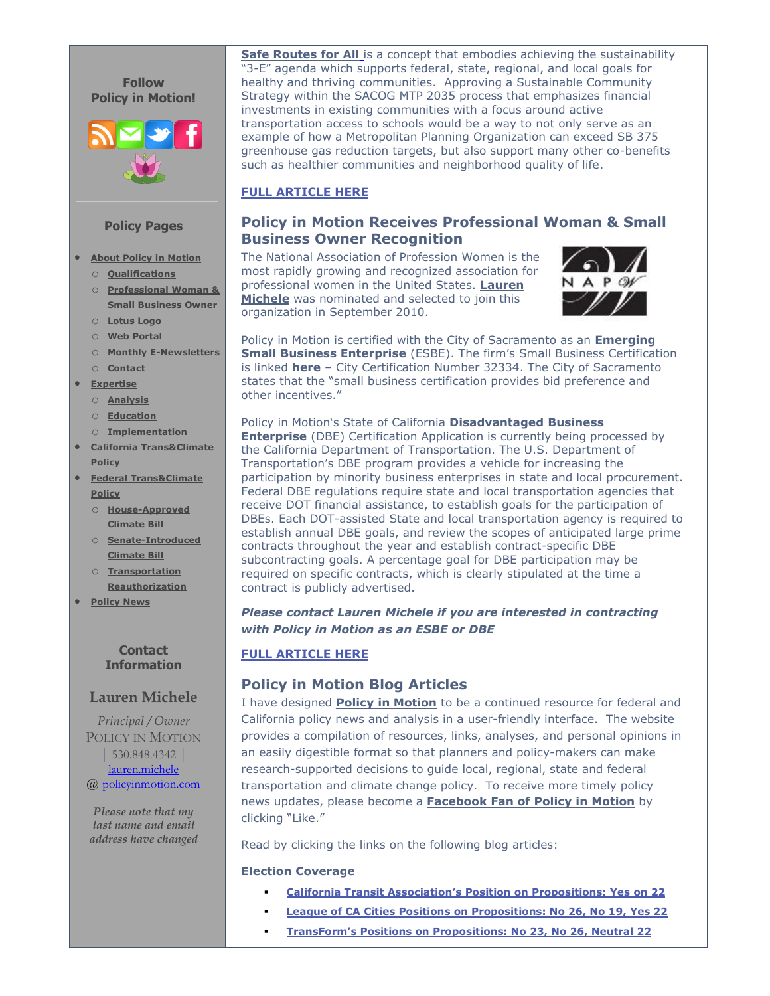

#### **Policy Pages**

- **[About Policy in Motion](http://policyinmotion.com/)**
	- o **[Qualifications](http://policyinmotion.com/about-policy-in-motion/services-and-qualifications/)**
	- o **[Professional Woman &](http://policyinmotion.com/about-policy-in-motion/professional-woman-small-business-owner-recognition/)  [Small Business Owner](http://policyinmotion.com/about-policy-in-motion/professional-woman-small-business-owner-recognition/)**
	- o **[Lotus Logo](http://policyinmotion.com/about-policy-in-motion/logo/)**
	- o **[Web Portal](http://policyinmotion.com/about-policy-in-motion/web-portal/)**
	- o **[Monthly E-Newsletters](http://policyinmotion.com/about-policy-in-motion/monthly-e-newsletters/)**
	- o **[Contact](http://policyinmotion.com/about-policy-in-motion/contact/)**
- **[Expertise](http://policyinmotion.com/expertise/)**
	- o **[Analysis](http://policyinmotion.com/expertise/policy-analysis/)**
	- o **[Education](http://policyinmotion.com/expertise/policy-education/)**
	- o **[Implementation](http://policyinmotion.com/expertise/policy-implementation/)**
- **[California Trans&Climate](http://policyinmotion.com/transclimate-policy/)  [Policy](http://policyinmotion.com/transclimate-policy/)**
- **[Federal Trans&Climate](http://policyinmotion.com/federal-transclimate-policy/)  [Policy](http://policyinmotion.com/federal-transclimate-policy/)**
	- o **[House-Approved](http://policyinmotion.com/federal-transclimate-policy/house-approved-climateenergy-bill-waxman-markey/)  [Climate Bill](http://policyinmotion.com/federal-transclimate-policy/house-approved-climateenergy-bill-waxman-markey/)**
	- o **[Senate-Introduced](http://policyinmotion.com/federal-transclimate-policy/senate-introduced-climateenergy-bill-kerryboxer-lieberman/)  [Climate Bill](http://policyinmotion.com/federal-transclimate-policy/senate-introduced-climateenergy-bill-kerryboxer-lieberman/)**
	- o **[Transportation](http://policyinmotion.com/federal-transclimate-policy/surface-transportation-reauthorization-act-of-2009-oberstar/)  [Reauthorization](http://policyinmotion.com/federal-transclimate-policy/surface-transportation-reauthorization-act-of-2009-oberstar/)**
- **[Policy News](http://policyinmotion.com/policy-news-2/)**

#### **Contact Information**

#### **Lauren Michele**

*Principal / Owner* POLICY IN MOTION | 530.848.4342 [|](mailto:lauren.michele@policyinmotion.com) [lauren.michele](mailto:lauren.michele@policyinmotion.com) @ [policyinmotion.com](http://www.policyinmotion.com/)

*Please note that my last name and email address have changed*

**[Safe Routes for All](http://policyinmotion.com/2010/10/sacramento-regional-coalitions-support-safe-routes-for-all-mtp-scenario/)** is a concept that embodies achieving the sustainability '3-E" agenda which supports federal, state, regional, and local goals for healthy and thriving communities. Approving a Sustainable Community Strategy within the SACOG MTP 2035 process that emphasizes financial investments in existing communities with a focus around active transportation access to schools would be a way to not only serve as an example of how a Metropolitan Planning Organization can exceed SB 375 greenhouse gas reduction targets, but also support many other co-benefits such as healthier communities and neighborhood quality of life.

#### **[FULL ARTICLE HERE](http://policyinmotion.com/2010/10/sacramento-regional-coalitions-support-safe-routes-for-all-mtp-scenario/)**

### **[Policy in Motion Receives Professional Woman & Small](http://policyinmotion.com/about-policy-in-motion/professional-woman-small-business-owner-recognition/)  [Business Owner Recognition](http://policyinmotion.com/about-policy-in-motion/professional-woman-small-business-owner-recognition/)**

The National Association of Profession Women is the most rapidly growing and recognized association for professional women in the United States. **[Lauren](http://www.napw.com/profile/10507961/Lauren-Michele/)  [Michele](http://www.napw.com/profile/10507961/Lauren-Michele/)** was nominated and selected to join this organization in September 2010.



Policy in Motion is certified with the City of Sacramento as an **Emerging Small Business Enterprise** (ESBE). The firm's Small Business Certification is linked **[here](http://policyinmotion.com/wp-content/uploads/Policy-in-Motion-ESB-Certification_City-of-Sacramento2.pdf)** – City Certification Number 32334. The City of Sacramento states that the "small business certification provides bid preference and other incentives."

Policy in Motion's State of California **Disadvantaged Business Enterprise** (DBE) Certification Application is currently being processed by the California Department of Transportation. The U.S. Department of Transportation's DBE program provides a vehicle for increasing the participation by minority business enterprises in state and local procurement. Federal DBE regulations require state and local transportation agencies that receive DOT financial assistance, to establish goals for the participation of DBEs. Each DOT-assisted State and local transportation agency is required to establish annual DBE goals, and review the scopes of anticipated large prime contracts throughout the year and establish contract-specific DBE subcontracting goals. A percentage goal for DBE participation may be required on specific contracts, which is clearly stipulated at the time a contract is publicly advertised.

#### *Please contact Lauren Michele if you are interested in contracting with Policy in Motion as an ESBE or DBE*

#### **[FULL ARTICLE HERE](http://policyinmotion.com/about-policy-in-motion/professional-woman-small-business-owner-recognition/)**

#### **[Policy in Motion Blog Articles](http://policyinmotion.com/policy-news-2/)**

I have designed **[Policy in Motion](http://www.policyinmotion.com/)** to be a continued resource for federal and California policy news and analysis in a user-friendly interface. The website provides a compilation of resources, links, analyses, and personal opinions in an easily digestible format so that planners and policy-makers can make research-supported decisions to guide local, regional, state and federal transportation and climate change policy. To receive more timely policy news updates, please become a **[Facebook Fan of Policy in Motion](http://www.facebook.com/pages/Sacramento-CA/Policy-in-Motion-by-Lauren-Michele/127170127299311?ref=ts&__a=8)** by clicking "Like."

Read by clicking the links on the following blog articles:

#### **Election Coverage**

- **[California Transit Association's Position on Propositions: Yes](http://policyinmotion.com/2010/10/california-transit-associations-position-on-propositions-yes-on-22/) on 22**
- **[League of CA Cities Positions on Propositions: No 26, No 19, Yes 22](http://policyinmotion.com/2010/10/league-of-california-cities-positions-on-propositions-no-19-no-26-yes-22/)**
- **[TransForm's Positions on Propositions: No 23, No 26, Neutral 22](http://policyinmotion.com/2010/10/transforms-positions-on-propositions-no-23-no-26-neutral-22/)**